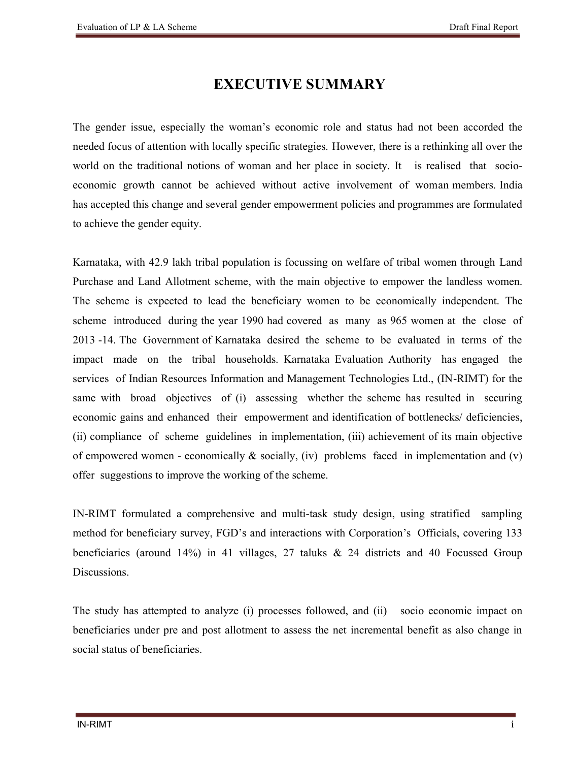## **EXECUTIVE SUMMARY**

The gender issue, especially the woman's economic role and status had not been accorded the needed focus of attention with locally specific strategies. However, there is a rethinking all over the world on the traditional notions of woman and her place in society. It is realised that socioeconomic growth cannot be achieved without active involvement of woman members. India has accepted this change and several gender empowerment policies and programmes are formulated to achieve the gender equity.

Karnataka, with 42.9 lakh tribal population is focussing on welfare of tribal women through Land Purchase and Land Allotment scheme, with the main objective to empower the landless women. The scheme is expected to lead the beneficiary women to be economically independent. The scheme introduced during the year 1990 had covered as many as 965 women at the close of 2013 -14. The Government of Karnataka desired the scheme to be evaluated in terms of the impact made on the tribal households. Karnataka Evaluation Authority has engaged the services of Indian Resources Information and Management Technologies Ltd., (IN-RIMT) for the same with broad objectives of (i) assessing whether the scheme has resulted in securing economic gains and enhanced their empowerment and identification of bottlenecks/ deficiencies, (ii) compliance of scheme guidelines in implementation, (iii) achievement of its main objective of empowered women - economically  $\&$  socially, (iv) problems faced in implementation and (v) offer suggestions to improve the working of the scheme.

IN-RIMT formulated a comprehensive and multi-task study design, using stratified sampling method for beneficiary survey, FGD's and interactions with Corporation's Officials, covering 133 beneficiaries (around 14%) in 41 villages, 27 taluks & 24 districts and 40 Focussed Group **Discussions** 

The study has attempted to analyze (i) processes followed, and (ii) socio economic impact on beneficiaries under pre and post allotment to assess the net incremental benefit as also change in social status of beneficiaries.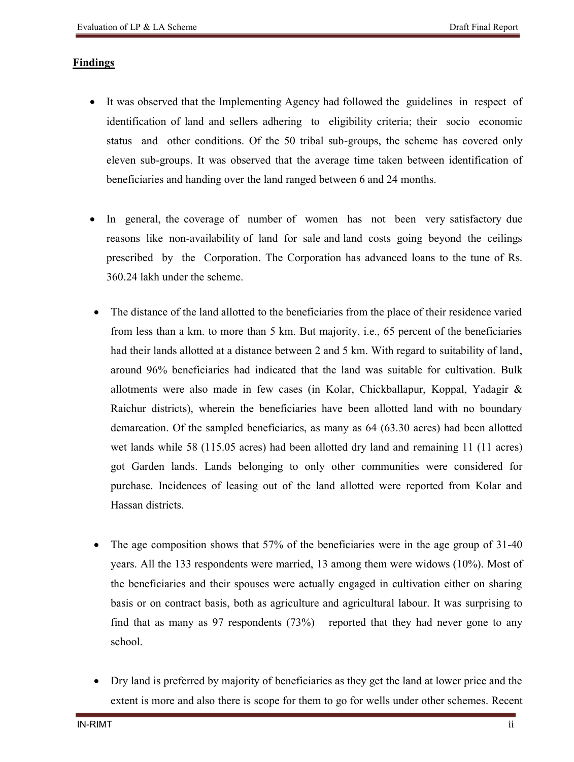## **Findings**

- It was observed that the Implementing Agency had followed the guidelines in respect of identification of land and sellers adhering to eligibility criteria; their socio economic status and other conditions. Of the 50 tribal sub-groups, the scheme has covered only eleven sub-groups. It was observed that the average time taken between identification of beneficiaries and handing over the land ranged between 6 and 24 months.
- In general, the coverage of number of women has not been very satisfactory due reasons like non-availability of land for sale and land costs going beyond the ceilings prescribed by the Corporation. The Corporation has advanced loans to the tune of Rs. 360.24 lakh under the scheme.
- The distance of the land allotted to the beneficiaries from the place of their residence varied from less than a km. to more than 5 km. But majority, i.e., 65 percent of the beneficiaries had their lands allotted at a distance between 2 and 5 km. With regard to suitability of land, around 96% beneficiaries had indicated that the land was suitable for cultivation. Bulk allotments were also made in few cases (in Kolar, Chickballapur, Koppal, Yadagir & Raichur districts), wherein the beneficiaries have been allotted land with no boundary demarcation. Of the sampled beneficiaries, as many as 64 (63.30 acres) had been allotted wet lands while 58 (115.05 acres) had been allotted dry land and remaining 11 (11 acres) got Garden lands. Lands belonging to only other communities were considered for purchase. Incidences of leasing out of the land allotted were reported from Kolar and Hassan districts.
- The age composition shows that 57% of the beneficiaries were in the age group of 31-40 years. All the 133 respondents were married, 13 among them were widows (10%). Most of the beneficiaries and their spouses were actually engaged in cultivation either on sharing basis or on contract basis, both as agriculture and agricultural labour. It was surprising to find that as many as 97 respondents (73%) reported that they had never gone to any school.
- Dry land is preferred by majority of beneficiaries as they get the land at lower price and the extent is more and also there is scope for them to go for wells under other schemes. Recent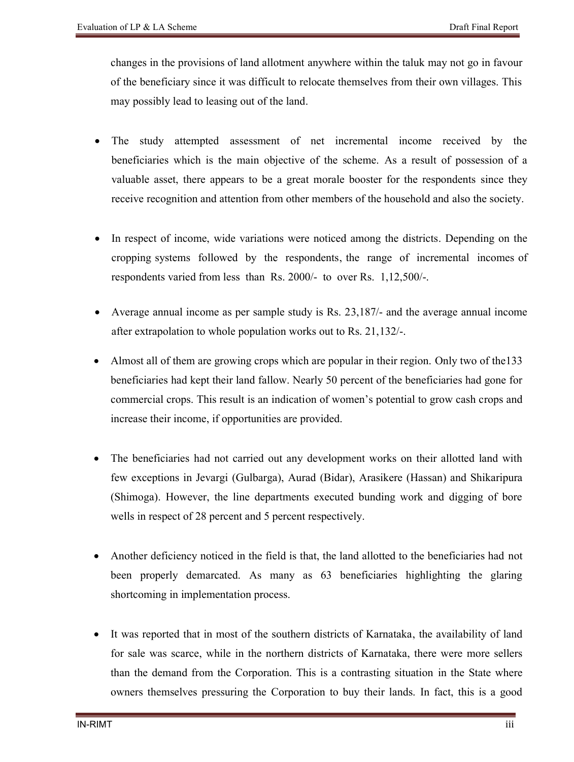changes in the provisions of land allotment anywhere within the taluk may not go in favour of the beneficiary since it was difficult to relocate themselves from their own villages. This may possibly lead to leasing out of the land.

- The study attempted assessment of net incremental income received by the beneficiaries which is the main objective of the scheme. As a result of possession of a valuable asset, there appears to be a great morale booster for the respondents since they receive recognition and attention from other members of the household and also the society.
- In respect of income, wide variations were noticed among the districts. Depending on the cropping systems followed by the respondents, the range of incremental incomes of respondents varied from less than Rs. 2000/- to over Rs. 1,12,500/-.
- Average annual income as per sample study is Rs. 23,187/- and the average annual income after extrapolation to whole population works out to Rs. 21,132/-.
- Almost all of them are growing crops which are popular in their region. Only two of the133 beneficiaries had kept their land fallow. Nearly 50 percent of the beneficiaries had gone for commercial crops. This result is an indication of women's potential to grow cash crops and increase their income, if opportunities are provided.
- The beneficiaries had not carried out any development works on their allotted land with few exceptions in Jevargi (Gulbarga), Aurad (Bidar), Arasikere (Hassan) and Shikaripura (Shimoga). However, the line departments executed bunding work and digging of bore wells in respect of 28 percent and 5 percent respectively.
- Another deficiency noticed in the field is that, the land allotted to the beneficiaries had not been properly demarcated. As many as 63 beneficiaries highlighting the glaring shortcoming in implementation process.
- It was reported that in most of the southern districts of Karnataka, the availability of land for sale was scarce, while in the northern districts of Karnataka, there were more sellers than the demand from the Corporation. This is a contrasting situation in the State where owners themselves pressuring the Corporation to buy their lands. In fact, this is a good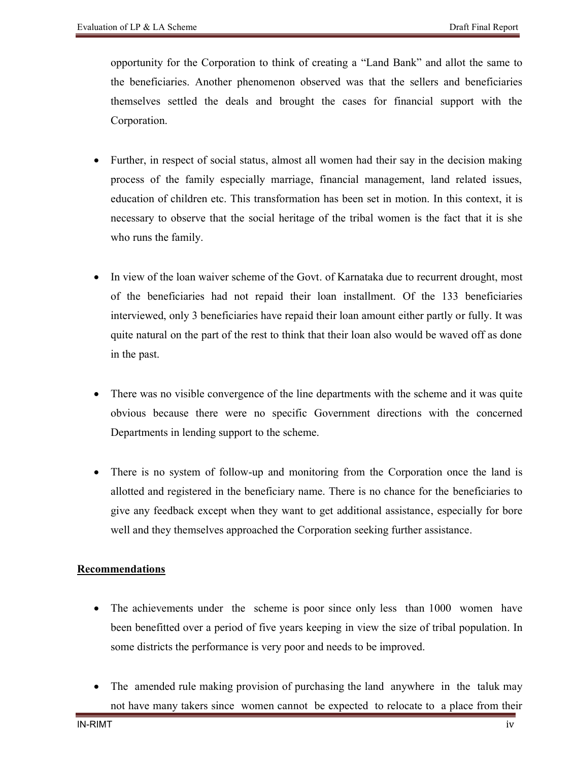opportunity for the Corporation to think of creating a "Land Bank" and allot the same to the beneficiaries. Another phenomenon observed was that the sellers and beneficiaries themselves settled the deals and brought the cases for financial support with the Corporation.

- Further, in respect of social status, almost all women had their say in the decision making process of the family especially marriage, financial management, land related issues, education of children etc. This transformation has been set in motion. In this context, it is necessary to observe that the social heritage of the tribal women is the fact that it is she who runs the family.
- In view of the loan waiver scheme of the Govt. of Karnataka due to recurrent drought, most of the beneficiaries had not repaid their loan installment. Of the 133 beneficiaries interviewed, only 3 beneficiaries have repaid their loan amount either partly or fully. It was quite natural on the part of the rest to think that their loan also would be waved off as done in the past.
- There was no visible convergence of the line departments with the scheme and it was quite obvious because there were no specific Government directions with the concerned Departments in lending support to the scheme.
- There is no system of follow-up and monitoring from the Corporation once the land is allotted and registered in the beneficiary name. There is no chance for the beneficiaries to give any feedback except when they want to get additional assistance, especially for bore well and they themselves approached the Corporation seeking further assistance.

## **Recommendations**

- The achievements under the scheme is poor since only less than 1000 women have been benefitted over a period of five years keeping in view the size of tribal population. In some districts the performance is very poor and needs to be improved.
- The amended rule making provision of purchasing the land anywhere in the taluk may not have many takers since women cannot be expected to relocate to a place from their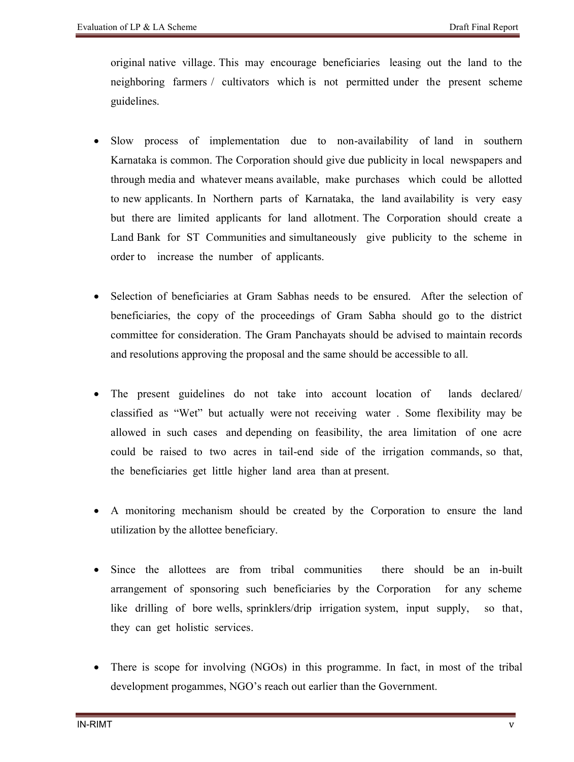original native village. This may encourage beneficiaries leasing out the land to the neighboring farmers / cultivators which is not permitted under the present scheme guidelines.

- Slow process of implementation due to non-availability of land in southern Karnataka is common. The Corporation should give due publicity in local newspapers and through media and whatever means available, make purchases which could be allotted to new applicants. In Northern parts of Karnataka, the land availability is very easy but there are limited applicants for land allotment. The Corporation should create a Land Bank for ST Communities and simultaneously give publicity to the scheme in order to increase the number of applicants.
- Selection of beneficiaries at Gram Sabhas needs to be ensured. After the selection of beneficiaries, the copy of the proceedings of Gram Sabha should go to the district committee for consideration. The Gram Panchayats should be advised to maintain records and resolutions approving the proposal and the same should be accessible to all.
- The present guidelines do not take into account location of lands declared/ classified as "Wet" but actually were not receiving water . Some flexibility may be allowed in such cases and depending on feasibility, the area limitation of one acre could be raised to two acres in tail-end side of the irrigation commands, so that, the beneficiaries get little higher land area than at present.
- A monitoring mechanism should be created by the Corporation to ensure the land utilization by the allottee beneficiary.
- Since the allottees are from tribal communities there should be an in-built arrangement of sponsoring such beneficiaries by the Corporation for any scheme like drilling of bore wells, sprinklers/drip irrigation system, input supply, so that, they can get holistic services.
- There is scope for involving (NGOs) in this programme. In fact, in most of the tribal development progammes, NGO's reach out earlier than the Government.